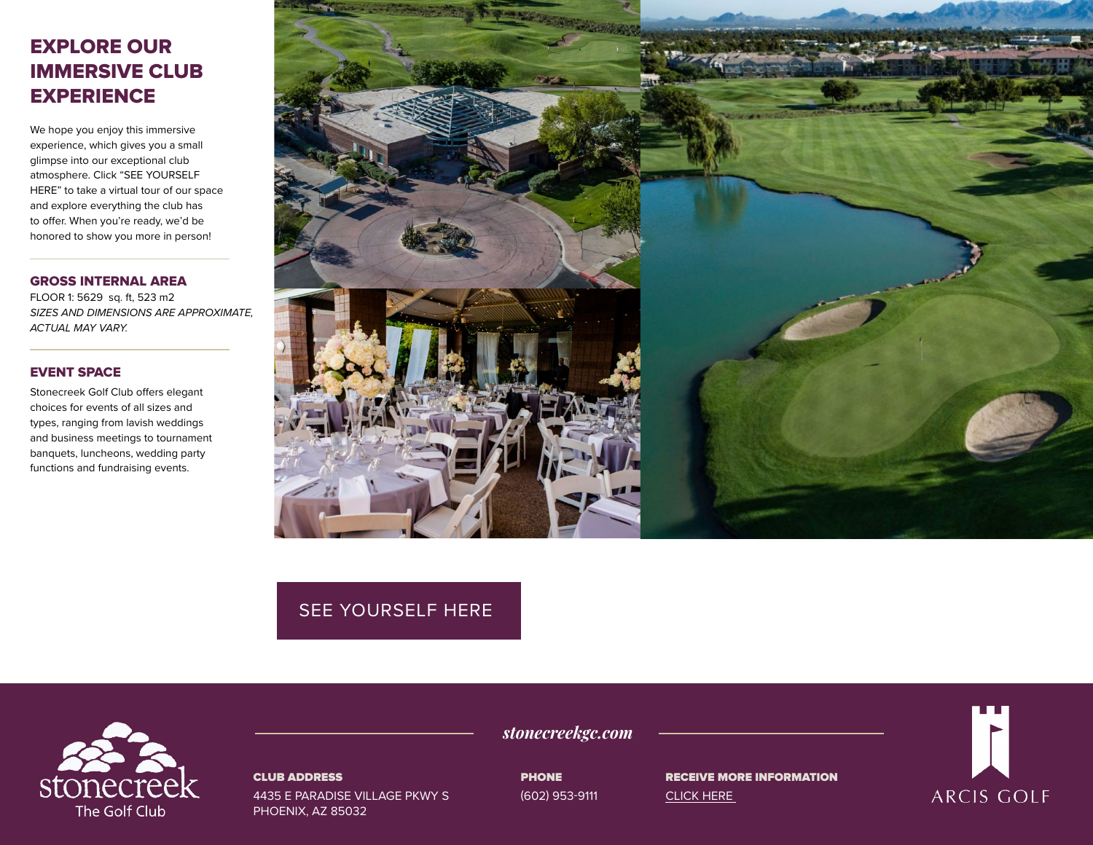## EXPLORE OUR IMMERSIVE CLUB **EXPERIENCE**

We hope you enjoy this immersive experience, which gives you a small glimpse into our exceptional club atmosphere. Click "SEE YOURSELF HERE" to take a virtual tour of our space and explore everything the club has to offer. When you're ready, we'd be honored to show you more in person!

GROSS INTERNAL AREA FLOOR 1: 5629 sq. ft, 523 m2 *SIZES AND DIMENSIONS ARE APPROXIMATE, ACTUAL MAY VARY.*

## EVENT SPACE

Stonecreek Golf Club offers elegant choices for events of all sizes and types, ranging from lavish weddings and business meetings to tournament banquets, luncheons, wedding party functions and fundraising events.



## [SEE YOURSELF HERE](https://visitingmedia.com/tt8/?ttid=stonecreek-golf-club#/3d-model)



CLUB ADDRESS

4435 E PARADISE VILLAGE PKWY S PHOENIX, AZ 85032

**PHONE** 

*stonecreekgc.com*

(602) 953-9111

RECEIVE MORE INFORMATION [CLICK HERE](https://www.stonecreekgc.com/private-events-vm)